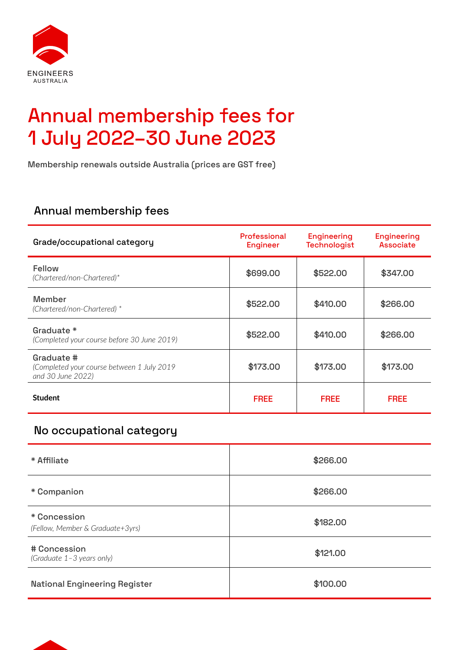

# Annual membership fees for 1 July 2022–30 June 2023

Membership renewals outside Australia (prices are GST free)

## Annual membership fees

| Grade/occupational category                                                   | Professional<br><b>Engineer</b> | <b>Engineering</b><br><b>Technologist</b> | <b>Engineering</b><br><b>Associate</b> |
|-------------------------------------------------------------------------------|---------------------------------|-------------------------------------------|----------------------------------------|
| Fellow<br>(Chartered/non-Chartered)*                                          | \$699.00                        | \$522.00                                  | \$347.00                               |
| <b>Member</b><br>(Chartered/non-Chartered) *                                  | \$522.00                        | \$410.00                                  | \$266.00                               |
| Graduate *<br>(Completed your course before 30 June 2019)                     | \$522.00                        | \$410.00                                  | \$266.00                               |
| Graduate #<br>(Completed your course between 1 July 2019<br>and 30 June 2022) | \$173.00                        | \$173.00                                  | \$173.00                               |
| <b>Student</b>                                                                | <b>FREE</b>                     | <b>FREE</b>                               | <b>FREE</b>                            |

## No occupational category

| * Affiliate                                      | \$266.00 |
|--------------------------------------------------|----------|
| * Companion                                      | \$266.00 |
| * Concession<br>(Fellow, Member & Graduate+3yrs) | \$182.00 |
| # Concession<br>(Graduate 1-3 years only)        | \$121.00 |
| <b>National Engineering Register</b>             | \$100.00 |

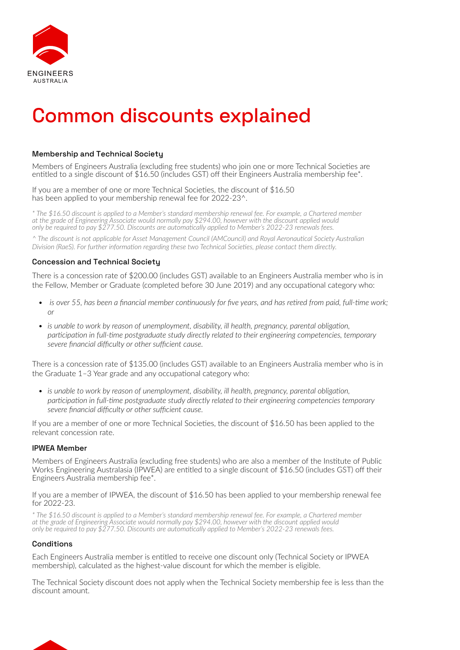

## Common discounts explained

### Membership and Technical Society

Members of Engineers Australia (excluding free students) who join one or more Technical Societies are entitled to a single discount of \$16.50 (includes GST) off their Engineers Australia membership fee\*.

If you are a member of one or more Technical Societies, the discount of \$16.50 has been applied to your membership renewal fee for 2022-23^.

*\* The \$16.50 discount is applied to a Member's standard membership renewal fee. For example, a Chartered member at the grade of Engineering Associate would normally pay \$294.00, however with the discount applied would only be required to pay \$277.50. Discounts are automatically applied to Member's 2022-23 renewals fees.*

*^ The discount is not applicable for Asset Management Council (AMCouncil) and Royal Aeronautical Society Australian Division (RaeS). For further information regarding these two Technical Societies, please contact them directly.*

### Concession and Technical Society

There is a concession rate of \$200.00 (includes GST) available to an Engineers Australia member who is in the Fellow, Member or Graduate (completed before 30 June 2019) and any occupational category who:

- *is over 55, has been a financial member continuously for five years, and has retired from paid, full-time work; or*
- *• is unable to work by reason of unemployment, disability, ill health, pregnancy, parental obligation, participation in full-time postgraduate study directly related to their engineering competencies, temporary severe financial difficulty or other sufficient cause.*

There is a concession rate of \$135.00 (includes GST) available to an Engineers Australia member who is in the Graduate 1–3 Year grade and any occupational category who:

*• is unable to work by reason of unemployment, disability, ill health, pregnancy, parental obligation, participation in full-time postgraduate study directly related to their engineering competencies temporary severe financial difficulty or other sufficient cause.*

If you are a member of one or more Technical Societies, the discount of \$16.50 has been applied to the relevant concession rate.

### IPWEA Member

Members of Engineers Australia (excluding free students) who are also a member of the Institute of Public Works Engineering Australasia (IPWEA) are entitled to a single discount of \$16.50 (includes GST) off their Engineers Australia membership fee\*.

#### If you are a member of IPWEA, the discount of \$16.50 has been applied to your membership renewal fee for 2022-23.

*\* The \$16.50 discount is applied to a Member's standard membership renewal fee. For example, a Chartered member at the grade of Engineering Associate would normally pay \$294.00, however with the discount applied would only be required to pay \$277.50. Discounts are automatically applied to Member's 2022-23 renewals fees.*

### **Conditions**

Each Engineers Australia member is entitled to receive one discount only (Technical Society or IPWEA membership), calculated as the highest-value discount for which the member is eligible.

The Technical Society discount does not apply when the Technical Society membership fee is less than the discount amount.

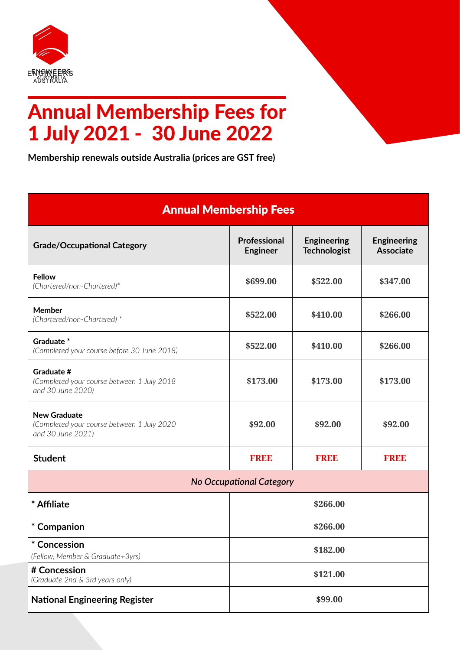

# Annual Membership Fees for 1 July 2021 - 30 June 2022

**Membership renewals outside Australia (prices are GST free)**

| <b>Annual Membership Fees</b>                                                          |                                 |                                           |                                        |  |
|----------------------------------------------------------------------------------------|---------------------------------|-------------------------------------------|----------------------------------------|--|
| <b>Grade/Occupational Category</b>                                                     | Professional<br><b>Engineer</b> | <b>Engineering</b><br><b>Technologist</b> | <b>Engineering</b><br><b>Associate</b> |  |
| <b>Fellow</b><br>(Chartered/non-Chartered)*                                            | \$699.00                        | \$522.00                                  | \$347.00                               |  |
| <b>Member</b><br>(Chartered/non-Chartered) *                                           | \$522.00                        | \$410.00                                  | \$266.00                               |  |
| Graduate <sup>*</sup><br>(Completed your course before 30 June 2018)                   | \$522.00                        | \$410.00                                  | \$266.00                               |  |
| Graduate #<br>(Completed your course between 1 July 2018<br>and 30 June 2020)          | \$173.00                        | \$173.00                                  | \$173.00                               |  |
| <b>New Graduate</b><br>(Completed your course between 1 July 2020<br>and 30 June 2021) | \$92.00                         | \$92.00                                   | \$92.00                                |  |
| <b>Student</b>                                                                         | <b>FREE</b>                     | <b>FREE</b>                               | <b>FREE</b>                            |  |
| <b>No Occupational Category</b>                                                        |                                 |                                           |                                        |  |
| * Affiliate                                                                            | \$266.00                        |                                           |                                        |  |
| * Companion                                                                            | \$266.00                        |                                           |                                        |  |
| * Concession<br>(Fellow, Member & Graduate+3yrs)                                       | \$182.00                        |                                           |                                        |  |
| # Concession<br>(Graduate 2nd & 3rd years only)                                        | \$121.00                        |                                           |                                        |  |
| <b>National Engineering Register</b>                                                   | \$99.00                         |                                           |                                        |  |